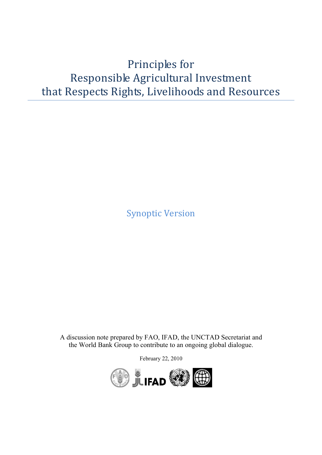## Principles for Responsible Agricultural Investment that Respects Rights, Livelihoods and Resources

Synoptic Version

A discussion note prepared by FAO, IFAD, the UNCTAD Secretariat and the World Bank Group to contribute to an ongoing global dialogue.

February 22, 2010

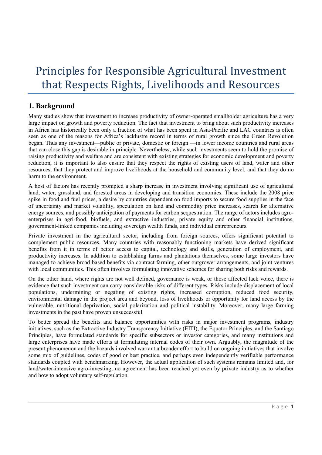# Principles for Responsible Agricultural Investment that Respects Rights, Livelihoods and Resources

### **1. Background**

Many studies show that investment to increase productivity of owner-operated smallholder agriculture has a very large impact on growth and poverty reduction. The fact that investment to bring about such productivity increases in Africa has historically been only a fraction of what has been spent in Asia-Pacific and LAC countries is often seen as one of the reasons for Africa's lacklustre record in terms of rural growth since the Green Revolution began. Thus any investment—public or private, domestic or foreign —in lower income countries and rural areas that can close this gap is desirable in principle. Nevertheless, while such investments seem to hold the promise of raising productivity and welfare and are consistent with existing strategies for economic development and poverty reduction, it is important to also ensure that they respect the rights of existing users of land, water and other resources, that they protect and improve livelihoods at the household and community level, and that they do no harm to the environment.

A host of factors has recently prompted a sharp increase in investment involving significant use of agricultural land, water, grassland, and forested areas in developing and transition economies. These include the 2008 price spike in food and fuel prices, a desire by countries dependent on food imports to secure food supplies in the face of uncertainty and market volatility, speculation on land and commodity price increases, search for alternative energy sources, and possibly anticipation of payments for carbon sequestration. The range of actors includes agroenterprises in agri-food, biofuels, and extractive industries, private equity and other financial institutions, government-linked companies including sovereign wealth funds, and individual entrepreneurs.

Private investment in the agricultural sector, including from foreign sources, offers significant potential to complement public resources. Many countries with reasonably functioning markets have derived significant benefits from it in terms of better access to capital, technology and skills, generation of employment, and productivity increases. In addition to establishing farms and plantations themselves, some large investors have managed to achieve broad-based benefits via contract farming, other outgrower arrangements, and joint ventures with local communities. This often involves formulating innovative schemes for sharing both risks and rewards.

On the other hand, where rights are not well defined, governance is weak, or those affected lack voice, there is evidence that such investment can carry considerable risks of different types. Risks include displacement of local populations, undermining or negating of existing rights, increased corruption, reduced food security, environmental damage in the project area and beyond, loss of livelihoods or opportunity for land access by the vulnerable, nutritional deprivation, social polarization and political instability. Moreover, many large farming investments in the past have proven unsuccessful.

To better spread the benefits and balance opportunities with risks in major investment programs, industry initiatives, such as the Extractive Industry Transparency Initiative (EITI), the Equator Principles, and the Santiago Principles, have formulated standards for specific subsectors or investor categories, and many institutions and large enterprises have made efforts at formulating internal codes of their own. Arguably, the magnitude of the present phenomenon and the hazards involved warrant a broader effort to build on ongoing initiatives that involve some mix of guidelines, codes of good or best practice, and perhaps even independently verifiable performance standards coupled with benchmarking. However, the actual application of such systems remains limited and, for land/water-intensive agro-investing, no agreement has been reached yet even by private industry as to whether and how to adopt voluntary self-regulation.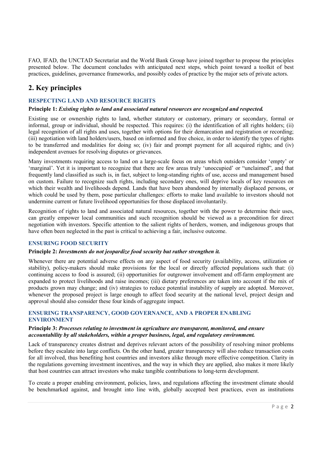FAO, IFAD, the UNCTAD Secretariat and the World Bank Group have joined together to propose the principles presented below. The document concludes with anticipated next steps, which point toward a toolkit of best practices, guidelines, governance frameworks, and possibly codes of practice by the major sets of private actors.

## **2. Key principles**

#### **RESPECTING LAND AND RESOURCE RIGHTS**

#### **Principle 1:** *Existing rights to land and associated natural resources are recognized and respected.*

Existing use or ownership rights to land, whether statutory or customary, primary or secondary, formal or informal, group or individual, should be respected. This requires: (i) the identification of all rights holders; (ii) legal recognition of all rights and uses, together with options for their demarcation and registration or recording; (iii) negotiation with land holders/users, based on informed and free choice, in order to identify the types of rights to be transferred and modalities for doing so; (iv) fair and prompt payment for all acquired rights; and (iv) independent avenues for resolving disputes or grievances.

Many investments requiring access to land on a large-scale focus on areas which outsiders consider 'empty' or 'marginal'. Yet it is important to recognize that there are few areas truly 'unoccupied' or "unclaimed", and that frequently land classified as such is, in fact, subject to long-standing rights of use, access and management based on custom. Failure to recognize such rights, including secondary ones, will deprive locals of key resources on which their wealth and livelihoods depend. Lands that have been abandoned by internally displaced persons, or which could be used by them, pose particular challenges: efforts to make land available to investors should not undermine current or future livelihood opportunities for those displaced involuntarily.

Recognition of rights to land and associated natural resources, together with the power to determine their uses, can greatly empower local communities and such recognition should be viewed as a precondition for direct negotiation with investors. Specific attention to the salient rights of herders, women, and indigenous groups that have often been neglected in the past is critical to achieving a fair, inclusive outcome.

#### **ENSURING FOOD SECURITY**

#### **Principle 2:** *Investments do not jeopardize food security but rather strengthen it.*

Whenever there are potential adverse effects on any aspect of food security (availability, access, utilization or stability), policy-makers should make provisions for the local or directly affected populations such that: (i) continuing access to food is assured; (ii) opportunities for outgrower involvement and off-farm employment are expanded to protect livelihoods and raise incomes; (iii) dietary preferences are taken into account if the mix of products grown may change; and (iv) strategies to reduce potential instability of supply are adopted. Moreover, whenever the proposed project is large enough to affect food security at the national level, project design and approval should also consider these four kinds of aggregate impact.

#### **ENSURING TRANSPARENCY, GOOD GOVERNANCE, AND A PROPER ENABLING ENVIRONMENT**

#### **Principle 3:** *Processes relating to investment in agriculture are transparent, monitored, and ensure accountability by all stakeholders, within a proper business, legal, and regulatory environment.*

Lack of transparency creates distrust and deprives relevant actors of the possibility of resolving minor problems before they escalate into large conflicts. On the other hand, greater transparency will also reduce transaction costs for all involved, thus benefiting host countries and investors alike through more effective competition. Clarity in the regulations governing investment incentives, and the way in which they are applied, also makes it more likely that host countries can attract investors who make tangible contributions to long-term development.

To create a proper enabling environment, policies, laws, and regulations affecting the investment climate should be benchmarked against, and brought into line with, globally accepted best practices, even as institutions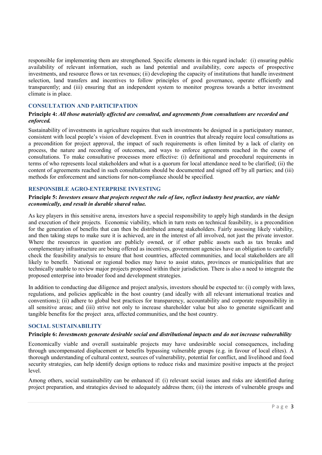responsible for implementing them are strengthened. Specific elements in this regard include: (i) ensuring public availability of relevant information, such as land potential and availability, core aspects of prospective investments, and resource flows or tax revenues; (ii) developing the capacity of institutions that handle investment selection, land transfers and incentives to follow principles of good governance, operate efficiently and transparently; and (iii) ensuring that an independent system to monitor progress towards a better investment climate is in place.

#### **CONSULTATION AND PARTICIPATION**

#### **Principle 4:** *All those materially affected are consulted, and agreements from consultations are recorded and enforced.*

Sustainability of investments in agriculture requires that such investments be designed in a participatory manner, consistent with local people's vision of development. Even in countries that already require local consultations as a precondition for project approval, the impact of such requirements is often limited by a lack of clarity on process, the nature and recording of outcomes, and ways to enforce agreements reached in the course of consultations. To make consultative processes more effective: (i) definitional and procedural requirements in terms of who represents local stakeholders and what is a quorum for local attendance need to be clarified; (ii) the content of agreements reached in such consultations should be documented and signed off by all parties; and (iii) methods for enforcement and sanctions for non-compliance should be specified.

#### **RESPONSIBLE AGRO-ENTERPRISE INVESTING**

#### **Principle 5:** *Investors ensure that projects respect the rule of law, reflect industry best practice, are viable economically, and result in durable shared value.*

As key players in this sensitive arena, investors have a special responsibility to apply high standards in the design and execution of their projects. Economic viability, which in turn rests on technical feasibility, is a precondition for the generation of benefits that can then be distributed among stakeholders. Fairly assessing likely viability, and then taking steps to make sure it is achieved, are in the interest of all involved, not just the private investor. Where the resources in question are publicly owned, or if other public assets such as tax breaks and complementary infrastructure are being offered as incentives, government agencies have an obligation to carefully check the feasibility analysis to ensure that host countries, affected communities, and local stakeholders are all likely to benefit. National or regional bodies may have to assist states, provinces or municipalities that are technically unable to review major projects proposed within their jurisdiction. There is also a need to integrate the proposed enterprise into broader food and development strategies.

In addition to conducting due diligence and project analysis, investors should be expected to: (i) comply with laws, regulations, and policies applicable in the host country (and ideally with all relevant international treaties and conventions); (ii) adhere to global best practices for transparency, accountability and corporate responsibility in all sensitive areas; and (iii) strive not only to increase shareholder value but also to generate significant and tangible benefits for the project area, affected communities, and the host country.

#### **SOCIAL SUSTAINABILITY**

#### **Principle 6:** *Investments generate desirable social and distributional impacts and do not increase vulnerability*

Economically viable and overall sustainable projects may have undesirable social consequences, including through uncompensated displacement or benefits bypassing vulnerable groups (e.g. in favour of local elites). A thorough understanding of cultural context, sources of vulnerability, potential for conflict, and livelihood and food security strategies, can help identify design options to reduce risks and maximize positive impacts at the project level.

Among others, social sustainability can be enhanced if: (i) relevant social issues and risks are identified during project preparation, and strategies devised to adequately address them; (ii) the interests of vulnerable groups and